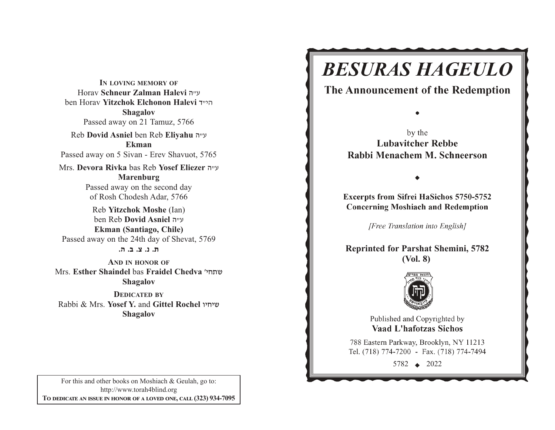**IN LOVING MEMORY OF**Horav **Schneur Zalman Halevi** v"g ben Horav **Yitzchok Elchonon Halevi** s"hv**Shagalov** Passed away on 21 Tamuz, 5766 Reb **Dovid Asniel** ben Reb **Eliyahu** <sup>v</sup>"g **Ekman**Passed away on 5 Sivan - Erev Shavuot, 5765 Mrs. **Devora Rivka** bas Reb **Yosef Eliezer** v"g **Marenburg** Passed away on the second day of Rosh Chodesh Adar, 5766 Reb **Yitzchok Moshe** (Ian) ben Reb **Dovid Asniel** v"g **Ekman (Santiago, Chile)** Passed away on the 24th day of Shevat, 5769 **/v /c /m /b /,AND IN HONOR OF**Mrs. **Esther Shaindel** bas **Fraidel Chedva** whj,a

**Shagalov**

**DEDICATED BY**Rabbi & Mrs. **Yosef Y.** and **Gittel Rochel** uhjha**Shagalov**

**Excerpts from Sifrei HaSichos 5750-5752 Concerning Moshiach and Redemption** 

**BESURAS HAGEULO** 

The Announcement of the Redemption

by the **Lubavitcher Rebbe** Rabbi Menachem M. Schneerson

[Free Translation into English]

**Reprinted for Parshat Shemini, 57 (Vol. 8)**



Published and Copyrighted by **Vaad L'hafotzas Sichos** 

788 Eastern Parkway, Brooklyn, NY 11213 Tel. (718) 774-7200 - Fax. (718) 774-7494

5782  $\leftrightarrow$  2022

For this and other books on Moshiach & Geulah, go to: http://www.torah4blind.org  $\bf{To \textbf{ DEDICATE \textbf{AN} \textbf{ ISSUE} \textbf{IN} \textbf{ HONOR} \textbf{OF} \textbf{A} \textbf{ LOVED} \textbf{ONE}, \textbf{CALL} \textbf{(323)} \textbf{934-7095}}$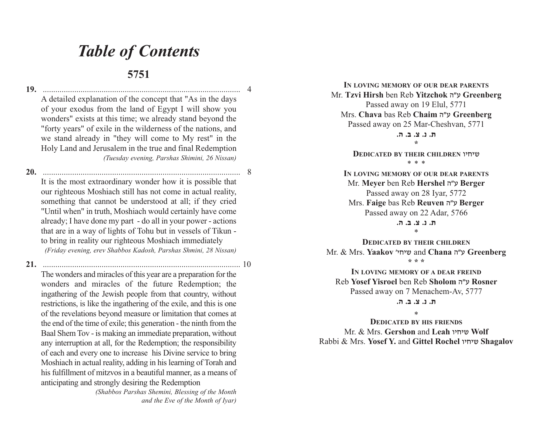## *Table of Contents*

## **5751**

**19.** .............................................................................................. 4A detailed explanation of the concept that "As in the days of your exodus from the land of Egypt I will show you wonders" exists at this time; we already stand beyond the "forty years" of exile in the wilderness of the nations, and we stand already in "they will come to My rest" in the Holy Land and Jerusalem in the true and final Redemption *(Tuesday evening, Parshas Shimini, 26 Nissan)*

**20.** .............................................................................................. 8 It is the most extraordinary wonder how it is possible that our righteous Moshiach still has not come in actual reality, something that cannot be understood at all; if they cried "Until when" in truth, Moshiach would certainly have come already; I have done my part - do all in your power - actions that are in a way of lights of Tohu but in vessels of Tikun to bring in reality our righteous Moshiach immediately *(Friday evening, erev Shabbos Kadosh, Parshas Shmini, 28 Nissan)*

**21.** .............................................................................................. 10

The wonders and miracles of this year are a preparation for the wonders and miracles of the future Redemption; the ingathering of the Jewish people from that country, without restrictions, is like the ingathering of the exile, and this is one of the revelations beyond measure or limitation that comes at the end of the time of exile; this generation - the ninth from the Baal Shem Tov - is making an immediate preparation, without any interruption at all, for the Redemption; the responsibility of each and every one to increase his Divine service to bring Moshiach in actual reality, adding in his learning of Torah and his fulfillment of mitzvos in a beautiful manner, as a means of anticipating and strongly desiring the Redemption

> *(Shabbos Parshas Shemini, Blessing of the Month and the Eve of the Month of Iyar)*

**IN LOVING MEMORY OF OUR DEAR PARENTS** Mr. **Tzvi Hirsh** ben Reb **Yitzchok** <sup>v</sup>"g **Greenberg** Passed away on 19 Elul, 5771 Mrs. **Chava** bas Reb **Chaim** <sup>v</sup>"g **Greenberg**  Passed away on 25 Mar-Cheshvan, 5771

> **/v /c /m /b /, \***

**DEDICATED BY THEIR CHILDREN** uhjha \* \* \*

**IN LOVING MEMORY OF OUR DEAR PARENTS** Mr. **Meyer** ben Reb **Hershel** <sup>v</sup>"g **Berger**  Passed away on 28 Iyar, 5772 Mrs. **Faige** bas Reb **Reuven** <sup>v</sup>"g **Berger**  Passed away on 22 Adar, 5766

> **/v /c /m /b /,**\*

**DEDICATED BY THEIR CHILDREN** Mr. & Mrs. **Yaakov** whjha and **Chana** v"g **Greenberg \* \* \*** 

**IN LOVING MEMORY OF A DEAR FREIND** Reb **Yosef Yisroel** ben Reb **Sholom** vWg **Rosner**  Passed away on 7 Menachem-Av, 5777 **/v /c /m /b /,**

\*

 **DEDICATED BY HIS FRIENDS** Mr. & Mrs. **Gershon** and **Leah** uhjha **Wolf**  Rabbi & Mrs. **Yosef Y.** and **Gittel Rochel** uhjha **Shagalov**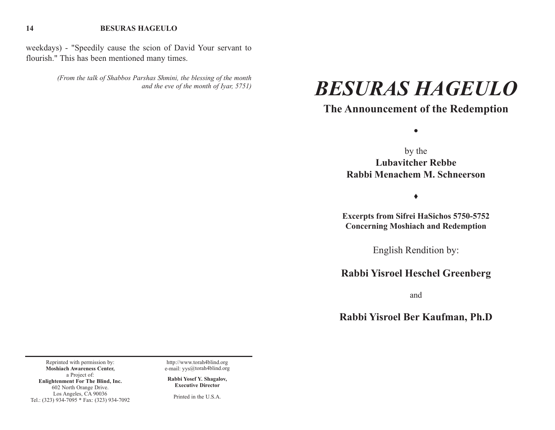#### **BESURAS HAGEULO**

**14**

weekdays) - "Speedily cause the scion of David Your servant to flourish." This has been mentioned many times.

> *(From the talk of Shabbos Parshas Shmini, the blessing of the month and the eve of the month of Iyar, 5751)*

# *BESURAS HAGEULO*

## **The Announcement of the Redemption**

 $\bullet$ 

by the **Lubavitcher RebbeRabbi Menachem M. Schneerson** 

 $\blacklozenge$ 

**Excerpts from Sifrei HaSichos 5750-5752 Concerning Moshiach and Redemption** 

English Rendition by:

## **Rabbi Yisroel Heschel Greenberg**

and

**Rabbi Yisroel Ber Kaufman, Ph.D** 

Reprinted with permission by: **Moshiach Awareness Center,** a Project of: **Enlightenment For The Blind, Inc.** 602 North Orange Drive. Los Angeles, CA 90036 Tel.: (323) 934-7095 \* Fax: (323) 934-7092

http://www.torah4blind.org e-mail: yys@torah4blind.org

**Rabbi Yosef Y. Shagalov, Executive Director**

Printed in the U.S.A.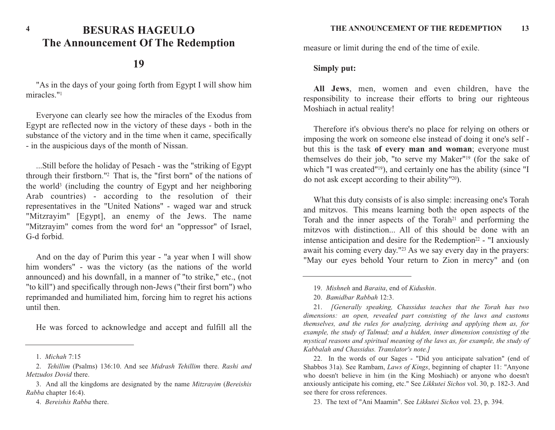## **BESURAS HAGEULOThe Announcement Of The Redemption**

## **19**

"As in the days of your going forth from Egypt I will show him miracles."<sup>1</sup>

Everyone can clearly see how the miracles of the Exodus from Egypt are reflected now in the victory of these days - both in the substance of the victory and in the time when it came, specifically - in the auspicious days of the month of Nissan.

...Still before the holiday of Pesach - was the "striking of Egypt through their firstborn."2 That is, the "first born" of the nations of the world3 (including the country of Egypt and her neighboring Arab countries) - according to the resolution of their representatives in the "United Nations" - waged war and struck "Mitzrayim" [Egypt], an enemy of the Jews. The name "Mitzrayim" comes from the word for<sup>4</sup> an "oppressor" of Israel, G-d forbid.

And on the day of Purim this year - "a year when I will show him wonders" - was the victory (as the nations of the world announced) and his downfall, in a manner of "to strike," etc., (not "to kill") and specifically through non-Jews ("their first born") who reprimanded and humiliated him, forcing him to regret his actions until then.

He was forced to acknowledge and accept and fulfill all the

- 3. And all the kingdoms are designated by the name *Mitzrayim* (*Bereishis Rabba* chapter 16:4).
	- 4. *Bereishis Rabba* there.

measure or limit during the end of the time of exile.

#### **Simply put:**

**All Jews**, men, women and even children, have the responsibility to increase their efforts to bring our righteous Moshiach in actual reality!

Therefore it's obvious there's no place for relying on others or imposing the work on someone else instead of doing it one's self but this is the task **of every man and woman**; everyone mus<sup>t</sup> themselves do their job, "to serve my Maker"19 (for the sake of which "I was created"<sup>19</sup>), and certainly one has the ability (since "I do not ask except according to their ability"20).

What this duty consists of is also simple: increasing one's Torah and mitzvos. This means learning both the open aspects of the Torah and the inner aspects of the Torah<sup>21</sup> and performing the mitzvos with distinction... All of this should be done with anintense anticipation and desire for the Redemption<sup>22</sup> - "I anxiously await his coming every day."23 As we say every day in the prayers: "May our eyes behold Your return to Zion in mercy" and (on

<sup>1.</sup> *Michah* 7:15

<sup>2.</sup> *Tehillim* (Psalms) 136:10. And see *Midrash Tehillim* there. *Rashi and Metzudos Dovid* there.

<sup>19.</sup> *Mishneh* and *Baraita*, end of *Kidushin*.

<sup>20.</sup> *Bamidbar Rabbah* 12:3.

<sup>21.</sup> *[Generally speaking, Chassidus teaches that the Torah has two dimensions: an open, revealed part consisting of the laws and customs themselves, and the rules for analyzing, deriving and applying them as, for example, the study of Talmud; and a hidden, inner dimension consisting of the mystical reasons and spiritual meaning of the laws as, for example, the study of Kabbalah and Chassidus. Translator's note.]*

<sup>22.</sup> In the words of our Sages - "Did you anticipate salvation" (end of Shabbos 31a). See Rambam, *Laws of Kings*, beginning of chapter 11: "Anyone who doesn't believe in him (in the King Moshiach) or anyone who doesn't anxiously anticipate his coming, etc." See *Likkutei Sichos* vol. 30, p. 182-3. And see there for cross references.

<sup>23.</sup> The text of "Ani Maamin". See *Likkutei Sichos* vol. 23, p. 394.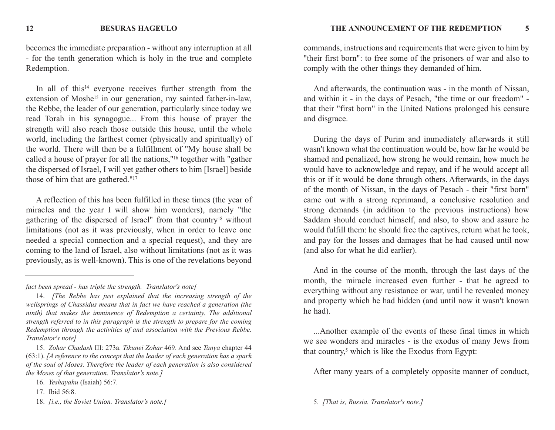becomes the immediate preparation - without any interruption at all - for the tenth generation which is holy in the true and complete Redemption.

In all of this<sup>14</sup> everyone receives further strength from the extension of Moshe<sup>15</sup> in our generation, my sainted father-in-law, the Rebbe, the leader of our generation, particularly since today we read Torah in his synagogue... From this house of prayer the strength will also reach those outside this house, until the whole world, including the farthest corner (physically and spiritually) of the world. There will then be a fulfillment of "My house shall be called a house of prayer for all the nations,"16 together with "gather the dispersed of Israel, I will yet gather others to him [Israel] beside those of him that are gathered."17

A reflection of this has been fulfilled in these times (the year of miracles and the year I will show him wonders), namely "the gathering of the dispersed of Israel" from that country18 without limitations (not as it was previously, when in order to leave one needed a special connection and a special request), and they are coming to the land of Israel, also without limitations (not as it was previously, as is well-known). This is one of the revelations beyond

commands, instructions and requirements that were given to him by "their first born": to free some of the prisoners of war and also to comply with the other things they demanded of him.

And afterwards, the continuation was - in the month of Nissan, and within it - in the days of Pesach, "the time or our freedom" that their "first born" in the United Nations prolonged his censure and disgrace.

During the days of Purim and immediately afterwards it still wasn't known what the continuation would be, how far he would be shamed and penalized, how strong he would remain, how much he would have to acknowledge and repay, and if he would accept all this or if it would be done through others. Afterwards, in the days of the month of Nissan, in the days of Pesach - their "first born" came out with a strong reprimand, a conclusive resolution and strong demands (in addition to the previous instructions) how Saddam should conduct himself, and also, to show and assure he would fulfill them: he should free the captives, return what he took, and pay for the losses and damages that he had caused until now (and also for what he did earlier).

And in the course of the month, through the last days of the month, the miracle increased even further - that he agreed to everything without any resistance or war, until he revealed money and property which he had hidden (and until now it wasn't known he had).

...Another example of the events of these final times in which we see wonders and miracles - is the exodus of many Jews from that country, $5$  which is like the Exodus from Egypt:

After many years of a completely opposite manner of conduct,

*fact been spread - has triple the strength. Translator's note]*

<sup>14.</sup> *[The Rebbe has just explained that the increasing strength of the wellsprings of Chassidus means that in fact we have reached a generation (the ninth) that makes the imminence of Redemption a certainty. The additional strength referred to in this paragraph is the strength to prepare for the coming Redemption through the activities of and association with the Previous Rebbe. Translator's note]*

<sup>15.</sup> *Zohar Chadash* III: 273a. *Tikunei Zohar* 469. And see *Tanya* chapter 44 (63:1). *[A reference to the concept that the leader of each generation has a spark of the soul of Moses. Therefore the leader of each generation is also considered the Moses of that generation. Translator's note.]*

<sup>16.</sup> *Yeshayahu* (Isaiah) 56:7.

<sup>17.</sup> Ibid 56:8.

<sup>18.</sup> *[i.e., the Soviet Union. Translator's note.]*

<sup>5.</sup> *[That is, Russia. Translator's note.]*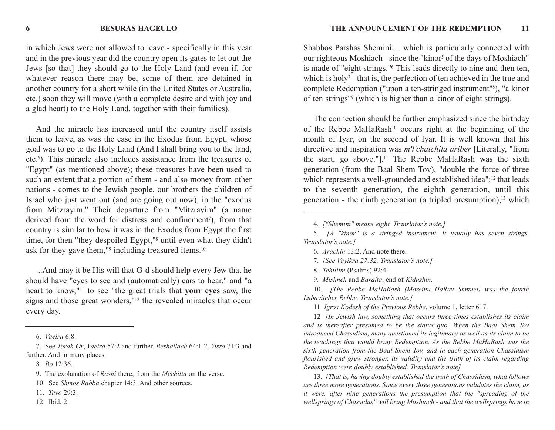**BESURAS HAGEULO**

in which Jews were not allowed to leave - specifically in this year and in the previous year did the country open its gates to let out the Jews [so that] they should go to the Holy Land (and even if, for whatever reason there may be, some of them are detained in another country for a short while (in the United States or Australia, etc.) soon they will move (with a complete desire and with joy and a glad heart) to the Holy Land, together with their families).

And the miracle has increased until the country itself assists them to leave, as was the case in the Exodus from Egypt, whose goal was to go to the Holy Land (And I shall bring you to the land, etc.6). This miracle also includes assistance from the treasures of "Egypt" (as mentioned above); these treasures have been used to such an extent that a portion of them - and also money from other nations - comes to the Jewish people, our brothers the children of Israel who just went out (and are going out now), in the "exodus from Mitzrayim." Their departure from "Mitzrayim" (a name derived from the word for distress and confinement<sup>7</sup>), from that country is similar to how it was in the Exodus from Egypt the first time, for then "they despoiled Egypt,"8 until even what they didn't ask for they gave them,"<sup>9</sup> including treasured items.<sup>10</sup>

...And may it be His will that G-d should help every Jew that he should have "eyes to see and (automatically) ears to hear," and "a heart to know,"11 to see "the great trials that **your eyes** saw, the signs and those great wonders,"12 the revealed miracles that occur every day.

12. Ibid, 2.

Shabbos Parshas Shemini<sup>4</sup>... which is particularly connected with our righteous Moshiach - since the "kinor<sup>5</sup> of the days of Moshiach" is made of "eight strings."6 This leads directly to nine and then ten, which is holy<sup> $7$ </sup> - that is, the perfection of ten achieved in the true and complete Redemption ("upon a ten-stringed instrument"8), "a kinor of ten strings"9 (which is higher than a kinor of eight strings).

The connection should be further emphasized since the birthday of the Rebbe MaHaRash10 occurs right at the beginning of the month of Iyar, on the second of Iyar. It is well known that his directive and inspiration was *m'l'chatchila ariber* [Literally, "from the start, go above."].11 The Rebbe MaHaRash was the sixth generation (from the Baal Shem Tov), "double the force of three which represents a well-grounded and established idea";<sup>12</sup> that leads to the seventh generation, the eighth generation, until this generation - the ninth generation (a tripled presumption), $13$  which

8. *Tehillim* (Psalms) 92:4.

10. *[The Rebbe MaHaRash (Moreinu HaRav Shmuel) was the fourth Lubavitcher Rebbe. Translator's note.]*

11 *Igros Kodesh of the Previous Rebbe*, volume 1, letter 617.

12 *[In Jewish law, something that occurs three times establishes its claim and is thereafter presumed to be the status quo. When the Baal Shem Tov introduced Chassidism, many questioned its legitimacy as well as its claim to be the teachings that would bring Redemption. As the Rebbe MaHaRash was the sixth generation from the Baal Shem Tov, and in each generation Chassidism flourished and grew stronger, its validity and the truth of its claim regarding Redemption were doubly established. Translator's note]*

13. *[That is, having doubly established the truth of Chassidism, what follows are three more generations. Since every three generations validates the claim, as it were, after nine generations the presumption that the "spreading of the wellsprings of Chassidus" will bring Moshiach - and that the wellsprings have in*

**6**

<sup>6.</sup> *Vaeira* 6:8.

<sup>7.</sup> See *Torah Or*, *Vaeira* 57:2 and further. *Beshallach* 64:1-2. *Yisro* 71:3 and further. And in many places.

<sup>8.</sup> *Bo* 12:36.

<sup>9.</sup> The explanation of *Rashi* there, from the *Mechilta* on the verse.

<sup>10.</sup> See *Shmos Rabba* chapter 14:3. And other sources.

<sup>11.</sup> *Tavo* 29:3.

<sup>4.</sup> *["Shemini" means eight. Translator's note.]*

<sup>5.</sup> *[A "kinor" is a stringed instrument. It usually has seven strings. Translator's note.]*

<sup>6.</sup> *Arachin* 13:2. And note there.

<sup>7.</sup> *[See Vayikra 27:32. Translator's note.]*

<sup>9.</sup> *Mishneh* and *Baraita*, end of *Kidushin*.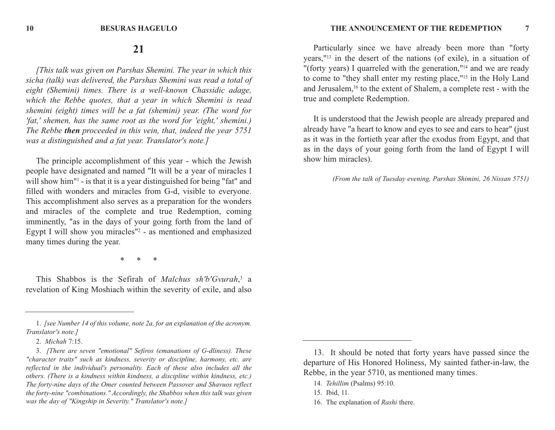### **21**

*[This talk was given on Parshas Shemini. The year in which this sicha (talk) was delivered, the Parshas Shemini was read a total of eight (Shemini) times. There is a well-known Chassidic adage, which the Rebbe quotes, that a year in which Shemini is read shemini (eight) times will be a fat (shemini) year. (The word for 'fat,' shemen, has the same root as the word for 'eight,' shemini.) The Rebbe then proceeded in this vein, that, indeed the year 5751 was a distinguished and a fat year. Translator's note.]*

The principle accomplishment of this year - which the Jewish people have designated and named "It will be a year of miracles I will show him"<sup>1</sup> - is that it is a year distinguished for being "fat" and filled with wonders and miracles from G-d, visible to everyone. This accomplishment also serves as a preparation for the wonders and miracles of the complete and true Redemption, coming imminently, "as in the days of your going forth from the land of Egypt I will show you miracles"2 - as mentioned and emphasized many times during the year.

\* \* \*

This Shabbos is the Sefirah of *Malchus sh'b'Gvurah*,<sup>3</sup> <sup>a</sup> revelation of King Moshiach within the severity of exile, and also

Particularly since we have already been more than "forty years,"13 in the desert of the nations (of exile), in a situation of "(forty years) I quarreled with the generation,"14 and we are ready to come to "they shall enter my resting place,"15 in the Holy Land and Jerusalem,16 to the extent of Shalem, a complete rest - with the true and complete Redemption.

It is understood that the Jewish people are already prepared and already have "a heart to know and eyes to see and ears to hear" (just as it was in the fortieth year after the exodus from Egypt, and that as in the days of your going forth from the land of Egypt I will show him miracles).

*(From the talk of Tuesday evening, Parshas Shimini, 26 Nissan 5751)*

<sup>1.</sup> *[see Number 14 of this volume, note 2a, for an explanation of the acronym. Translator's note.]*

<sup>2.</sup> *Michah* 7:15.

<sup>3.</sup> *[There are seven "emotional" Sefiros (emanations of G-dliness). These "character traits" such as kindness, severity or discipline, harmony, etc. are reflected in the individual's personality. Each of these also includes all the others. (There is a kindness within kindness, a discipline within kindness, etc.) The forty-nine days of the Omer counted between Passover and Shavuos reflect the forty-nine "combinations." Accordingly, the Shabbos when this talk was given was the day of "Kingship in Severity." Translator's note.]*

<sup>13.</sup> It should be noted that forty years have passed since the departure of His Honored Holiness, My sainted father-in-law, the Rebbe, in the year 5710, as mentioned many times.

<sup>14.</sup> *Tehillim* (Psalms) 95:10.

<sup>15.</sup> Ibid, 11.

<sup>16.</sup> The explanation of *Rashi* there.